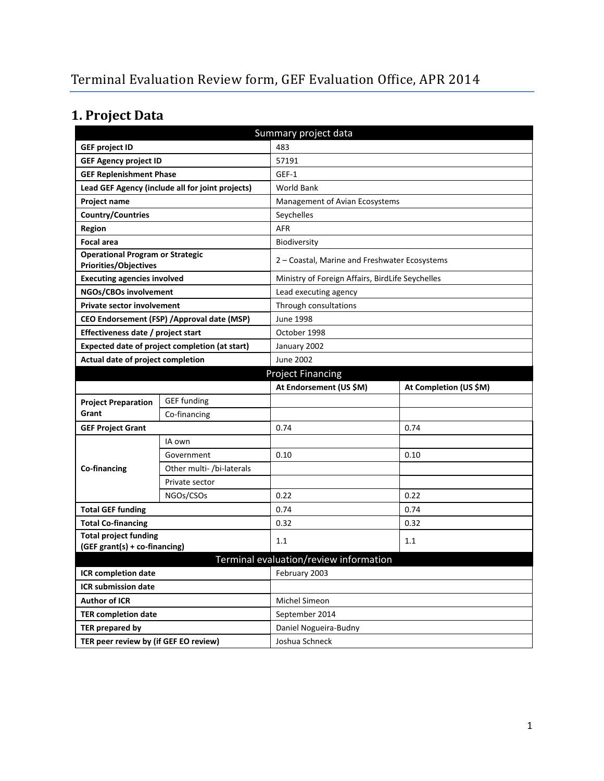# **1. Project Data**

| Summary project data                                             |                                                  |                                                  |                        |  |  |
|------------------------------------------------------------------|--------------------------------------------------|--------------------------------------------------|------------------------|--|--|
| <b>GEF project ID</b>                                            |                                                  | 483                                              |                        |  |  |
| <b>GEF Agency project ID</b>                                     |                                                  | 57191                                            |                        |  |  |
| <b>GEF Replenishment Phase</b>                                   |                                                  | GEF-1                                            |                        |  |  |
|                                                                  | Lead GEF Agency (include all for joint projects) | World Bank                                       |                        |  |  |
| Project name                                                     |                                                  | Management of Avian Ecosystems                   |                        |  |  |
| <b>Country/Countries</b>                                         |                                                  | Seychelles                                       |                        |  |  |
| <b>Region</b>                                                    |                                                  | <b>AFR</b>                                       |                        |  |  |
| <b>Focal area</b>                                                |                                                  | Biodiversity                                     |                        |  |  |
| <b>Operational Program or Strategic</b><br>Priorities/Objectives |                                                  | 2 - Coastal, Marine and Freshwater Ecosystems    |                        |  |  |
| <b>Executing agencies involved</b>                               |                                                  | Ministry of Foreign Affairs, BirdLife Seychelles |                        |  |  |
| NGOs/CBOs involvement                                            |                                                  | Lead executing agency                            |                        |  |  |
| <b>Private sector involvement</b>                                |                                                  | Through consultations                            |                        |  |  |
|                                                                  | CEO Endorsement (FSP) / Approval date (MSP)      | <b>June 1998</b>                                 |                        |  |  |
| Effectiveness date / project start                               |                                                  | October 1998                                     |                        |  |  |
| Expected date of project completion (at start)                   |                                                  | January 2002                                     |                        |  |  |
| Actual date of project completion                                |                                                  | <b>June 2002</b>                                 |                        |  |  |
|                                                                  |                                                  | <b>Project Financing</b>                         |                        |  |  |
|                                                                  |                                                  | At Endorsement (US \$M)                          | At Completion (US \$M) |  |  |
| <b>Project Preparation</b>                                       | <b>GEF</b> funding                               |                                                  |                        |  |  |
| Grant                                                            | Co-financing                                     |                                                  |                        |  |  |
| <b>GEF Project Grant</b>                                         |                                                  | 0.74                                             | 0.74                   |  |  |
|                                                                  | IA own                                           |                                                  |                        |  |  |
|                                                                  | Government                                       | 0.10                                             | 0.10                   |  |  |
| Co-financing                                                     | Other multi- /bi-laterals                        |                                                  |                        |  |  |
|                                                                  | Private sector                                   |                                                  |                        |  |  |
|                                                                  | NGOs/CSOs                                        | 0.22                                             | 0.22                   |  |  |
| <b>Total GEF funding</b>                                         |                                                  | 0.74                                             | 0.74                   |  |  |
| <b>Total Co-financing</b>                                        |                                                  | 0.32                                             | 0.32                   |  |  |
| <b>Total project funding</b>                                     |                                                  | 1.1                                              | 1.1                    |  |  |
| (GEF grant(s) + co-financing)                                    |                                                  |                                                  |                        |  |  |
|                                                                  |                                                  | Terminal evaluation/review information           |                        |  |  |
| ICR completion date                                              |                                                  | February 2003                                    |                        |  |  |
| <b>ICR submission date</b>                                       |                                                  |                                                  |                        |  |  |
| <b>Author of ICR</b>                                             |                                                  | Michel Simeon                                    |                        |  |  |
| <b>TER completion date</b>                                       |                                                  | September 2014                                   |                        |  |  |
| TER prepared by                                                  |                                                  | Daniel Nogueira-Budny                            |                        |  |  |
| TER peer review by (if GEF EO review)                            |                                                  | Joshua Schneck                                   |                        |  |  |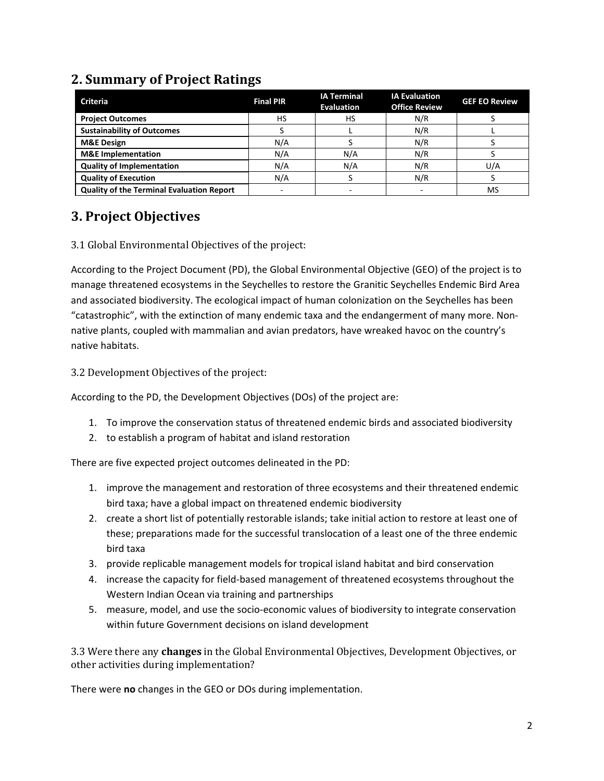#### **2. Summary of Project Ratings**

| <b>Criteria</b>                                  | <b>Final PIR</b> | <b>IA Terminal</b><br><b>Evaluation</b> | <b>IA Evaluation</b><br><b>Office Review</b> | <b>GEF EO Review</b> |
|--------------------------------------------------|------------------|-----------------------------------------|----------------------------------------------|----------------------|
| <b>Project Outcomes</b>                          | HS               | HS                                      | N/R                                          |                      |
| <b>Sustainability of Outcomes</b>                |                  |                                         | N/R                                          |                      |
| <b>M&amp;E Design</b>                            | N/A              |                                         | N/R                                          |                      |
| <b>M&amp;E</b> Implementation                    | N/A              | N/A                                     | N/R                                          |                      |
| <b>Quality of Implementation</b>                 | N/A              | N/A                                     | N/R                                          | U/A                  |
| <b>Quality of Execution</b>                      | N/A              |                                         | N/R                                          |                      |
| <b>Quality of the Terminal Evaluation Report</b> |                  |                                         |                                              | MS                   |

#### **3. Project Objectives**

#### 3.1 Global Environmental Objectives of the project:

According to the Project Document (PD), the Global Environmental Objective (GEO) of the project is to manage threatened ecosystems in the Seychelles to restore the Granitic Seychelles Endemic Bird Area and associated biodiversity. The ecological impact of human colonization on the Seychelles has been "catastrophic", with the extinction of many endemic taxa and the endangerment of many more. Nonnative plants, coupled with mammalian and avian predators, have wreaked havoc on the country's native habitats.

3.2 Development Objectives of the project:

According to the PD, the Development Objectives (DOs) of the project are:

- 1. To improve the conservation status of threatened endemic birds and associated biodiversity
- 2. to establish a program of habitat and island restoration

There are five expected project outcomes delineated in the PD:

- 1. improve the management and restoration of three ecosystems and their threatened endemic bird taxa; have a global impact on threatened endemic biodiversity
- 2. create a short list of potentially restorable islands; take initial action to restore at least one of these; preparations made for the successful translocation of a least one of the three endemic bird taxa
- 3. provide replicable management models for tropical island habitat and bird conservation
- 4. increase the capacity for field-based management of threatened ecosystems throughout the Western Indian Ocean via training and partnerships
- 5. measure, model, and use the socio-economic values of biodiversity to integrate conservation within future Government decisions on island development

3.3 Were there any **changes** in the Global Environmental Objectives, Development Objectives, or other activities during implementation?

There were **no** changes in the GEO or DOs during implementation.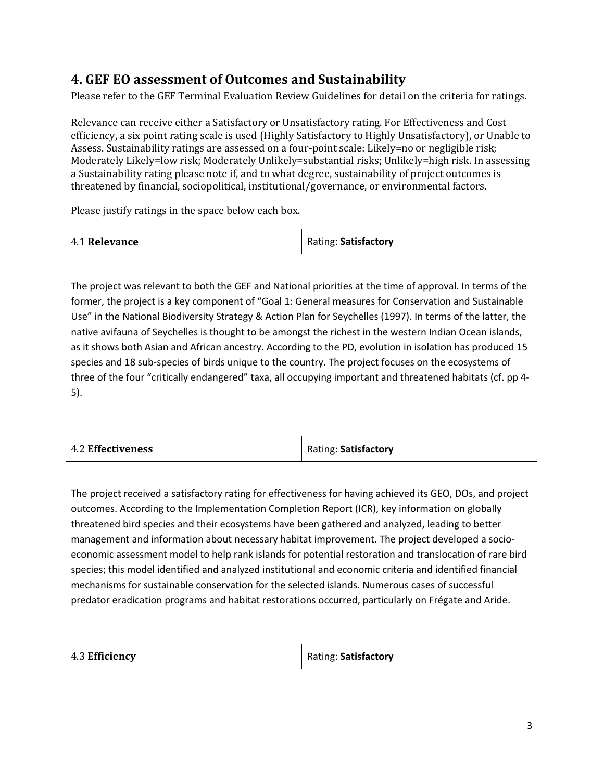#### **4. GEF EO assessment of Outcomes and Sustainability**

Please refer to the GEF Terminal Evaluation Review Guidelines for detail on the criteria for ratings.

Relevance can receive either a Satisfactory or Unsatisfactory rating. For Effectiveness and Cost efficiency, a six point rating scale is used (Highly Satisfactory to Highly Unsatisfactory), or Unable to Assess. Sustainability ratings are assessed on a four-point scale: Likely=no or negligible risk; Moderately Likely=low risk; Moderately Unlikely=substantial risks; Unlikely=high risk. In assessing a Sustainability rating please note if, and to what degree, sustainability of project outcomes is threatened by financial, sociopolitical, institutional/governance, or environmental factors.

Please justify ratings in the space below each box.

| 4.1 Relevance | Rating: Satisfactory |
|---------------|----------------------|
|---------------|----------------------|

The project was relevant to both the GEF and National priorities at the time of approval. In terms of the former, the project is a key component of "Goal 1: General measures for Conservation and Sustainable Use" in the National Biodiversity Strategy & Action Plan for Seychelles (1997). In terms of the latter, the native avifauna of Seychelles is thought to be amongst the richest in the western Indian Ocean islands, as it shows both Asian and African ancestry. According to the PD, evolution in isolation has produced 15 species and 18 sub-species of birds unique to the country. The project focuses on the ecosystems of three of the four "critically endangered" taxa, all occupying important and threatened habitats (cf. pp 4- 5).

| 4.2 Effectiveness | Rating: Satisfactory |
|-------------------|----------------------|
|-------------------|----------------------|

The project received a satisfactory rating for effectiveness for having achieved its GEO, DOs, and project outcomes. According to the Implementation Completion Report (ICR), key information on globally threatened bird species and their ecosystems have been gathered and analyzed, leading to better management and information about necessary habitat improvement. The project developed a socioeconomic assessment model to help rank islands for potential restoration and translocation of rare bird species; this model identified and analyzed institutional and economic criteria and identified financial mechanisms for sustainable conservation for the selected islands. Numerous cases of successful predator eradication programs and habitat restorations occurred, particularly on Frégate and Aride.

| 4.3 Efficiency | Rating: Satisfactory |
|----------------|----------------------|
|----------------|----------------------|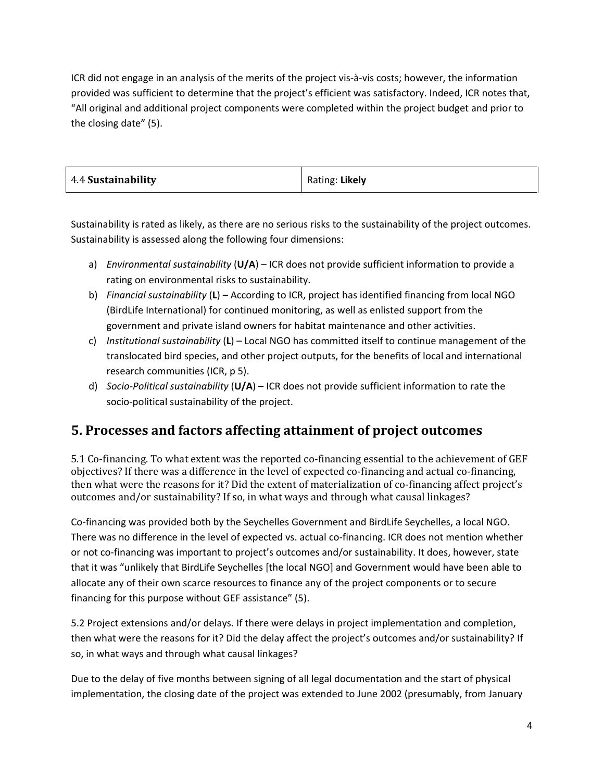ICR did not engage in an analysis of the merits of the project vis-à-vis costs; however, the information provided was sufficient to determine that the project's efficient was satisfactory. Indeed, ICR notes that, "All original and additional project components were completed within the project budget and prior to the closing date" (5).

| 4.4 Sustainability<br>Rating: Likely |  |
|--------------------------------------|--|
|--------------------------------------|--|

Sustainability is rated as likely, as there are no serious risks to the sustainability of the project outcomes. Sustainability is assessed along the following four dimensions:

- a) *Environmental sustainability* (**U/A**) ICR does not provide sufficient information to provide a rating on environmental risks to sustainability.
- b) *Financial sustainability* (**L**) According to ICR, project has identified financing from local NGO (BirdLife International) for continued monitoring, as well as enlisted support from the government and private island owners for habitat maintenance and other activities.
- c) *Institutional sustainability* (**L**) Local NGO has committed itself to continue management of the translocated bird species, and other project outputs, for the benefits of local and international research communities (ICR, p 5).
- d) *Socio-Political sustainability* (**U/A**) ICR does not provide sufficient information to rate the socio-political sustainability of the project.

### **5. Processes and factors affecting attainment of project outcomes**

5.1 Co-financing. To what extent was the reported co-financing essential to the achievement of GEF objectives? If there was a difference in the level of expected co-financing and actual co-financing, then what were the reasons for it? Did the extent of materialization of co-financing affect project's outcomes and/or sustainability? If so, in what ways and through what causal linkages?

Co-financing was provided both by the Seychelles Government and BirdLife Seychelles, a local NGO. There was no difference in the level of expected vs. actual co-financing. ICR does not mention whether or not co-financing was important to project's outcomes and/or sustainability. It does, however, state that it was "unlikely that BirdLife Seychelles [the local NGO] and Government would have been able to allocate any of their own scarce resources to finance any of the project components or to secure financing for this purpose without GEF assistance" (5).

5.2 Project extensions and/or delays. If there were delays in project implementation and completion, then what were the reasons for it? Did the delay affect the project's outcomes and/or sustainability? If so, in what ways and through what causal linkages?

Due to the delay of five months between signing of all legal documentation and the start of physical implementation, the closing date of the project was extended to June 2002 (presumably, from January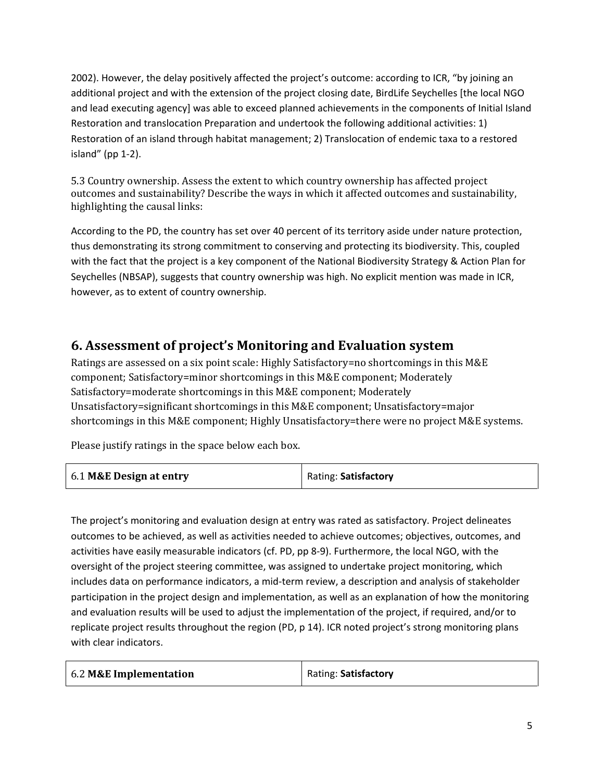2002). However, the delay positively affected the project's outcome: according to ICR, "by joining an additional project and with the extension of the project closing date, BirdLife Seychelles [the local NGO and lead executing agency] was able to exceed planned achievements in the components of Initial Island Restoration and translocation Preparation and undertook the following additional activities: 1) Restoration of an island through habitat management; 2) Translocation of endemic taxa to a restored island" (pp 1-2).

5.3 Country ownership. Assess the extent to which country ownership has affected project outcomes and sustainability? Describe the ways in which it affected outcomes and sustainability, highlighting the causal links:

According to the PD, the country has set over 40 percent of its territory aside under nature protection, thus demonstrating its strong commitment to conserving and protecting its biodiversity. This, coupled with the fact that the project is a key component of the National Biodiversity Strategy & Action Plan for Seychelles (NBSAP), suggests that country ownership was high. No explicit mention was made in ICR, however, as to extent of country ownership.

#### **6. Assessment of project's Monitoring and Evaluation system**

Ratings are assessed on a six point scale: Highly Satisfactory=no shortcomings in this M&E component; Satisfactory=minor shortcomings in this M&E component; Moderately Satisfactory=moderate shortcomings in this M&E component; Moderately Unsatisfactory=significant shortcomings in this M&E component; Unsatisfactory=major shortcomings in this M&E component; Highly Unsatisfactory=there were no project M&E systems.

Please justify ratings in the space below each box.

| 6.1 M&E Design at entry | Rating: Satisfactory |
|-------------------------|----------------------|
|-------------------------|----------------------|

The project's monitoring and evaluation design at entry was rated as satisfactory. Project delineates outcomes to be achieved, as well as activities needed to achieve outcomes; objectives, outcomes, and activities have easily measurable indicators (cf. PD, pp 8-9). Furthermore, the local NGO, with the oversight of the project steering committee, was assigned to undertake project monitoring, which includes data on performance indicators, a mid-term review, a description and analysis of stakeholder participation in the project design and implementation, as well as an explanation of how the monitoring and evaluation results will be used to adjust the implementation of the project, if required, and/or to replicate project results throughout the region (PD, p 14). ICR noted project's strong monitoring plans with clear indicators.

| 6.2 M&E Implementation | Rating: Satisfactory |
|------------------------|----------------------|
|------------------------|----------------------|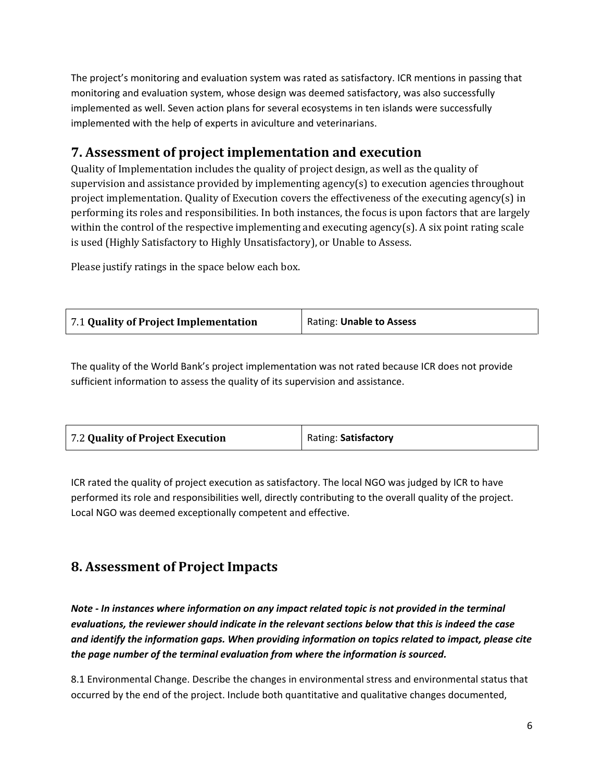The project's monitoring and evaluation system was rated as satisfactory. ICR mentions in passing that monitoring and evaluation system, whose design was deemed satisfactory, was also successfully implemented as well. Seven action plans for several ecosystems in ten islands were successfully implemented with the help of experts in aviculture and veterinarians.

#### **7. Assessment of project implementation and execution**

Quality of Implementation includes the quality of project design, as well as the quality of supervision and assistance provided by implementing agency(s) to execution agencies throughout project implementation. Quality of Execution covers the effectiveness of the executing agency(s) in performing its roles and responsibilities. In both instances, the focus is upon factors that are largely within the control of the respective implementing and executing agency(s). A six point rating scale is used (Highly Satisfactory to Highly Unsatisfactory), or Unable to Assess.

Please justify ratings in the space below each box.

| 7.1 Quality of Project Implementation | Rating: Unable to Assess |
|---------------------------------------|--------------------------|
|---------------------------------------|--------------------------|

The quality of the World Bank's project implementation was not rated because ICR does not provide sufficient information to assess the quality of its supervision and assistance.

| 7.2 Quality of Project Execution | Rating: Satisfactory |
|----------------------------------|----------------------|
|----------------------------------|----------------------|

ICR rated the quality of project execution as satisfactory. The local NGO was judged by ICR to have performed its role and responsibilities well, directly contributing to the overall quality of the project. Local NGO was deemed exceptionally competent and effective.

#### **8. Assessment of Project Impacts**

*Note - In instances where information on any impact related topic is not provided in the terminal evaluations, the reviewer should indicate in the relevant sections below that this is indeed the case and identify the information gaps. When providing information on topics related to impact, please cite the page number of the terminal evaluation from where the information is sourced.* 

8.1 Environmental Change. Describe the changes in environmental stress and environmental status that occurred by the end of the project. Include both quantitative and qualitative changes documented,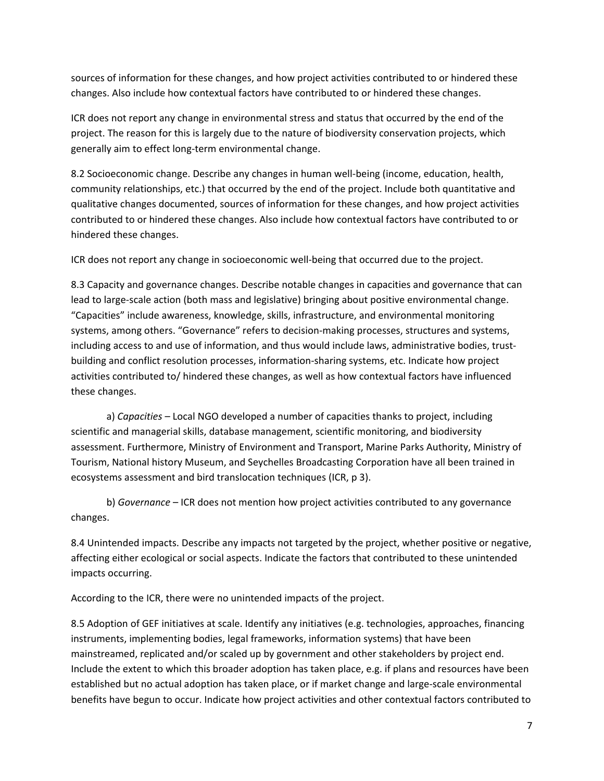sources of information for these changes, and how project activities contributed to or hindered these changes. Also include how contextual factors have contributed to or hindered these changes.

ICR does not report any change in environmental stress and status that occurred by the end of the project. The reason for this is largely due to the nature of biodiversity conservation projects, which generally aim to effect long-term environmental change.

8.2 Socioeconomic change. Describe any changes in human well-being (income, education, health, community relationships, etc.) that occurred by the end of the project. Include both quantitative and qualitative changes documented, sources of information for these changes, and how project activities contributed to or hindered these changes. Also include how contextual factors have contributed to or hindered these changes.

ICR does not report any change in socioeconomic well-being that occurred due to the project.

8.3 Capacity and governance changes. Describe notable changes in capacities and governance that can lead to large-scale action (both mass and legislative) bringing about positive environmental change. "Capacities" include awareness, knowledge, skills, infrastructure, and environmental monitoring systems, among others. "Governance" refers to decision-making processes, structures and systems, including access to and use of information, and thus would include laws, administrative bodies, trustbuilding and conflict resolution processes, information-sharing systems, etc. Indicate how project activities contributed to/ hindered these changes, as well as how contextual factors have influenced these changes.

a) *Capacities* – Local NGO developed a number of capacities thanks to project, including scientific and managerial skills, database management, scientific monitoring, and biodiversity assessment. Furthermore, Ministry of Environment and Transport, Marine Parks Authority, Ministry of Tourism, National history Museum, and Seychelles Broadcasting Corporation have all been trained in ecosystems assessment and bird translocation techniques (ICR, p 3).

b) *Governance* – ICR does not mention how project activities contributed to any governance changes.

8.4 Unintended impacts. Describe any impacts not targeted by the project, whether positive or negative, affecting either ecological or social aspects. Indicate the factors that contributed to these unintended impacts occurring.

According to the ICR, there were no unintended impacts of the project.

8.5 Adoption of GEF initiatives at scale. Identify any initiatives (e.g. technologies, approaches, financing instruments, implementing bodies, legal frameworks, information systems) that have been mainstreamed, replicated and/or scaled up by government and other stakeholders by project end. Include the extent to which this broader adoption has taken place, e.g. if plans and resources have been established but no actual adoption has taken place, or if market change and large-scale environmental benefits have begun to occur. Indicate how project activities and other contextual factors contributed to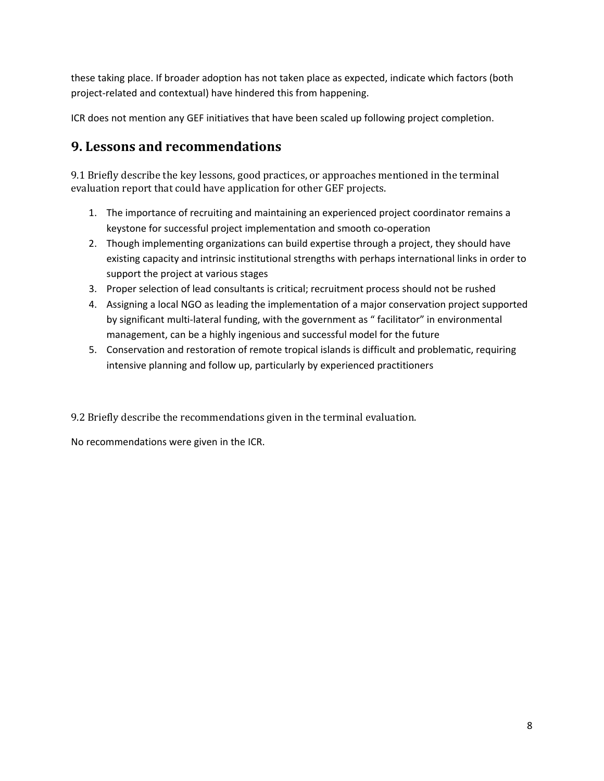these taking place. If broader adoption has not taken place as expected, indicate which factors (both project-related and contextual) have hindered this from happening.

ICR does not mention any GEF initiatives that have been scaled up following project completion.

#### **9. Lessons and recommendations**

9.1 Briefly describe the key lessons, good practices, or approaches mentioned in the terminal evaluation report that could have application for other GEF projects.

- 1. The importance of recruiting and maintaining an experienced project coordinator remains a keystone for successful project implementation and smooth co-operation
- 2. Though implementing organizations can build expertise through a project, they should have existing capacity and intrinsic institutional strengths with perhaps international links in order to support the project at various stages
- 3. Proper selection of lead consultants is critical; recruitment process should not be rushed
- 4. Assigning a local NGO as leading the implementation of a major conservation project supported by significant multi-lateral funding, with the government as " facilitator" in environmental management, can be a highly ingenious and successful model for the future
- 5. Conservation and restoration of remote tropical islands is difficult and problematic, requiring intensive planning and follow up, particularly by experienced practitioners

9.2 Briefly describe the recommendations given in the terminal evaluation.

No recommendations were given in the ICR.